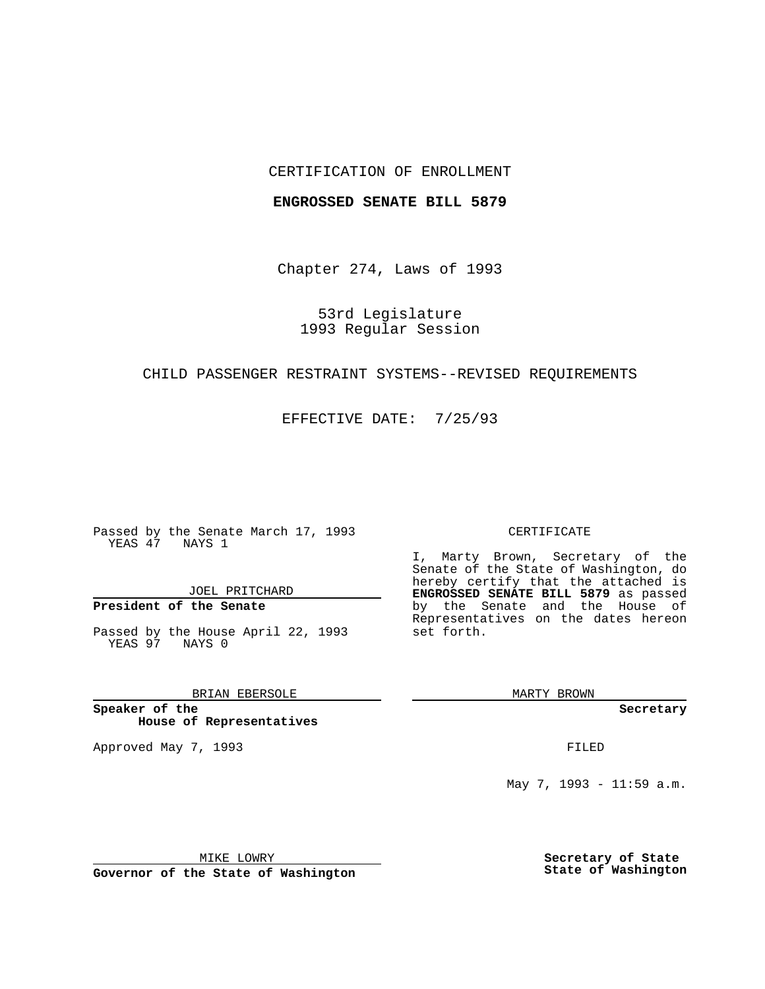## CERTIFICATION OF ENROLLMENT

#### **ENGROSSED SENATE BILL 5879**

Chapter 274, Laws of 1993

53rd Legislature 1993 Regular Session

## CHILD PASSENGER RESTRAINT SYSTEMS--REVISED REQUIREMENTS

EFFECTIVE DATE: 7/25/93

Passed by the Senate March 17, 1993 YEAS 47 NAYS 1

JOEL PRITCHARD

**President of the Senate**

Passed by the House April 22, 1993 YEAS 97 NAYS 0

BRIAN EBERSOLE

**Speaker of the House of Representatives**

Approved May 7, 1993 **FILED** 

#### CERTIFICATE

I, Marty Brown, Secretary of the Senate of the State of Washington, do hereby certify that the attached is **ENGROSSED SENATE BILL 5879** as passed by the Senate and the House of Representatives on the dates hereon set forth.

MARTY BROWN

**Secretary**

May 7, 1993 - 11:59 a.m.

MIKE LOWRY

**Governor of the State of Washington**

**Secretary of State State of Washington**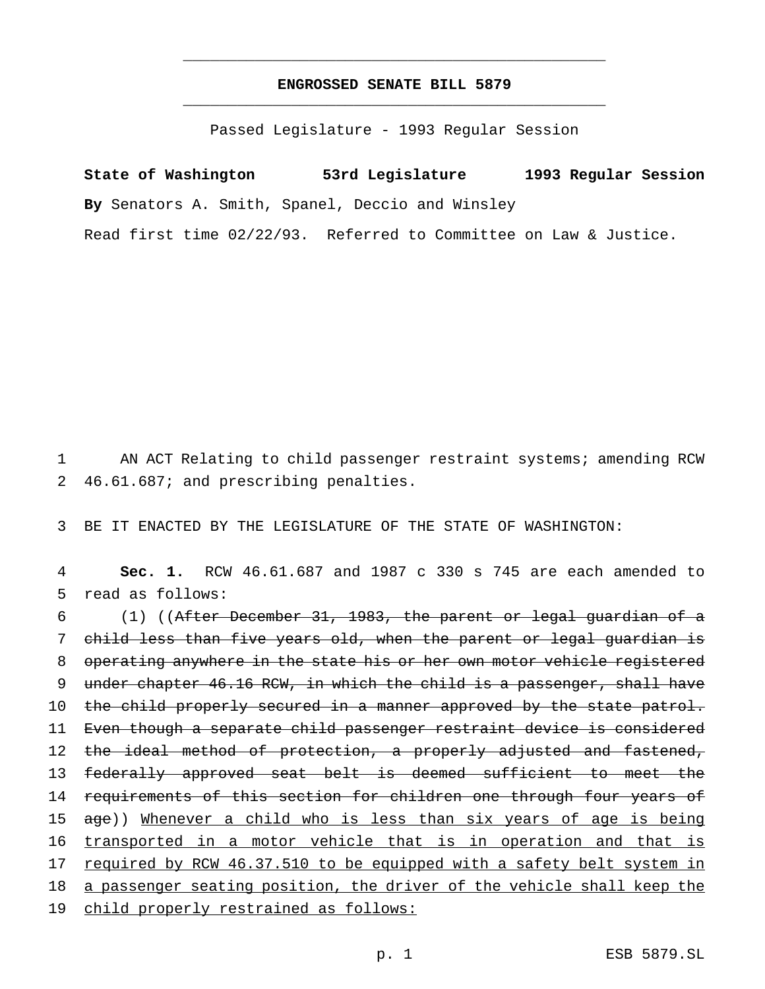# **ENGROSSED SENATE BILL 5879** \_\_\_\_\_\_\_\_\_\_\_\_\_\_\_\_\_\_\_\_\_\_\_\_\_\_\_\_\_\_\_\_\_\_\_\_\_\_\_\_\_\_\_\_\_\_\_

\_\_\_\_\_\_\_\_\_\_\_\_\_\_\_\_\_\_\_\_\_\_\_\_\_\_\_\_\_\_\_\_\_\_\_\_\_\_\_\_\_\_\_\_\_\_\_

Passed Legislature - 1993 Regular Session

**State of Washington 53rd Legislature 1993 Regular Session By** Senators A. Smith, Spanel, Deccio and Winsley Read first time 02/22/93. Referred to Committee on Law & Justice.

1 AN ACT Relating to child passenger restraint systems; amending RCW 2 46.61.687; and prescribing penalties.

3 BE IT ENACTED BY THE LEGISLATURE OF THE STATE OF WASHINGTON:

4 **Sec. 1.** RCW 46.61.687 and 1987 c 330 s 745 are each amended to 5 read as follows:

6 (1) ((After December 31, 1983, the parent or legal guardian of a 7 child less than five years old, when the parent or legal guardian is 8 operating anywhere in the state his or her own motor vehicle registered 9 under chapter 46.16 RCW, in which the child is a passenger, shall have 10 the child properly secured in a manner approved by the state patrol. 11 Even though a separate child passenger restraint device is considered 12 the ideal method of protection, a properly adjusted and fastened, 13 federally approved seat belt is deemed sufficient to meet the 14 requirements of this section for children one through four years of 15 age)) Whenever a child who is less than six years of age is being 16 transported in a motor vehicle that is in operation and that is 17 required by RCW 46.37.510 to be equipped with a safety belt system in 18 a passenger seating position, the driver of the vehicle shall keep the 19 child properly restrained as follows: